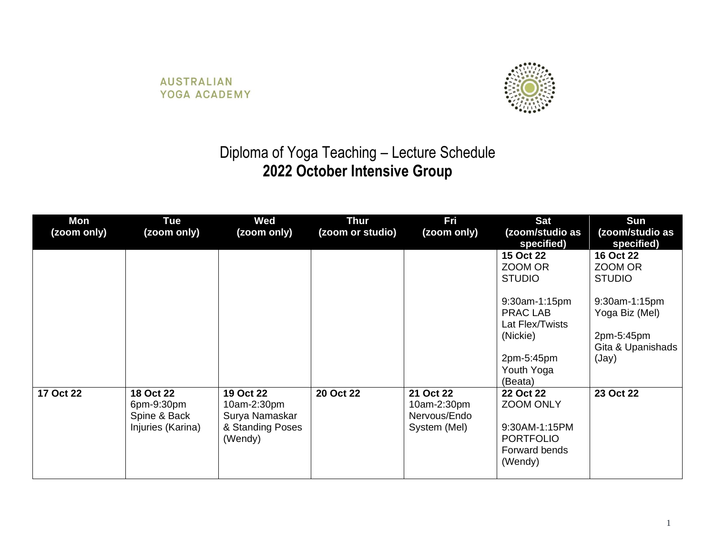**AUSTRALIAN** YOGA ACADEMY



## Diploma of Yoga Teaching – Lecture Schedule **2022 October Intensive Group**

| Mon<br>(zoom only) | <b>Tue</b><br>(zoom only)                                    | <b>Wed</b><br>(zoom only)                                                 | <b>Thur</b><br>(zoom or studio) | <b>Fri</b><br>(zoom only)                                | <b>Sat</b><br>(zoom/studio as<br>specified)                                                            | <b>Sun</b><br>(zoom/studio as<br>specified)                                 |
|--------------------|--------------------------------------------------------------|---------------------------------------------------------------------------|---------------------------------|----------------------------------------------------------|--------------------------------------------------------------------------------------------------------|-----------------------------------------------------------------------------|
|                    |                                                              |                                                                           |                                 |                                                          | 15 Oct 22<br>ZOOM OR<br><b>STUDIO</b>                                                                  | 16 Oct 22<br>ZOOM OR<br><b>STUDIO</b>                                       |
|                    |                                                              |                                                                           |                                 |                                                          | 9:30am-1:15pm<br><b>PRAC LAB</b><br>Lat Flex/Twists<br>(Nickie)<br>2pm-5:45pm<br>Youth Yoga<br>(Beata) | 9:30am-1:15pm<br>Yoga Biz (Mel)<br>2pm-5:45pm<br>Gita & Upanishads<br>(Jay) |
| 17 Oct 22          | 18 Oct 22<br>6pm-9:30pm<br>Spine & Back<br>Injuries (Karina) | 19 Oct 22<br>10am-2:30pm<br>Surya Namaskar<br>& Standing Poses<br>(Wendy) | 20 Oct 22                       | 21 Oct 22<br>10am-2:30pm<br>Nervous/Endo<br>System (Mel) | 22 Oct 22<br>ZOOM ONLY<br>9:30AM-1:15PM<br><b>PORTFOLIO</b><br>Forward bends<br>(Wendy)                | 23 Oct 22                                                                   |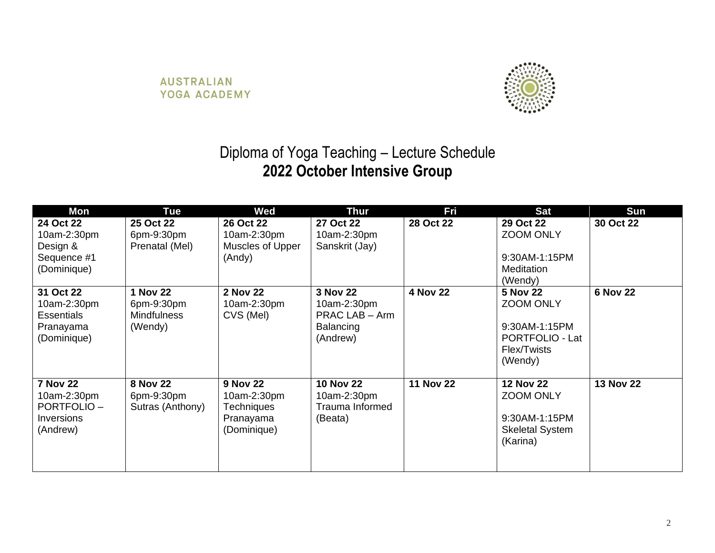

## Diploma of Yoga Teaching – Lecture Schedule **2022 October Intensive Group**

| Mon                                                                           | <b>Tue</b>                                                     | <b>Wed</b>                                                                      | <b>Thur</b>                                                        | Fri              | <b>Sat</b>                                                                                        | Sun              |
|-------------------------------------------------------------------------------|----------------------------------------------------------------|---------------------------------------------------------------------------------|--------------------------------------------------------------------|------------------|---------------------------------------------------------------------------------------------------|------------------|
| 24 Oct 22<br>10am-2:30pm<br>Design &<br>Sequence #1<br>(Dominique)            | 25 Oct 22<br>6pm-9:30pm<br>Prenatal (Mel)                      | 26 Oct 22<br>10am-2:30pm<br>Muscles of Upper<br>(Andy)                          | 27 Oct 22<br>10am-2:30pm<br>Sanskrit (Jay)                         | 28 Oct 22        | 29 Oct 22<br><b>ZOOM ONLY</b><br>9:30AM-1:15PM<br>Meditation<br>(Wendy)                           | 30 Oct 22        |
| 31 Oct 22<br>10am-2:30pm<br><b>Essentials</b><br>Pranayama<br>(Dominique)     | <b>1 Nov 22</b><br>6pm-9:30pm<br><b>Mindfulness</b><br>(Wendy) | <b>2 Nov 22</b><br>10am-2:30pm<br>CVS (Mel)                                     | 3 Nov 22<br>10am-2:30pm<br>PRAC LAB - Arm<br>Balancing<br>(Andrew) | 4 Nov 22         | <b>5 Nov 22</b><br><b>ZOOM ONLY</b><br>9:30AM-1:15PM<br>PORTFOLIO - Lat<br>Flex/Twists<br>(Wendy) | <b>6 Nov 22</b>  |
| <b>7 Nov 22</b><br>10am-2:30pm<br><b>PORTFOLIO-</b><br>Inversions<br>(Andrew) | <b>8 Nov 22</b><br>6pm-9:30pm<br>Sutras (Anthony)              | <b>9 Nov 22</b><br>10am-2:30pm<br><b>Techniques</b><br>Pranayama<br>(Dominique) | <b>10 Nov 22</b><br>10am-2:30pm<br>Trauma Informed<br>(Beata)      | <b>11 Nov 22</b> | <b>12 Nov 22</b><br><b>ZOOM ONLY</b><br>9:30AM-1:15PM<br><b>Skeletal System</b><br>(Karina)       | <b>13 Nov 22</b> |